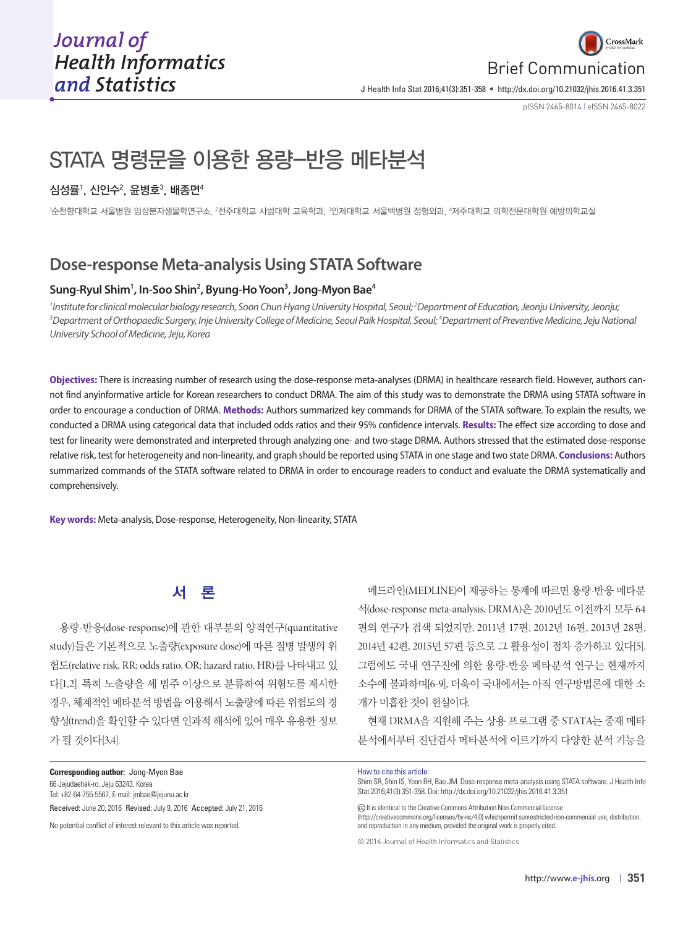

J Health Info Stat 2016;41(3):351-358 • http://dx.doi.org/10.21032/jhis.2016.41.3.351

pISSN 2465-8014 **|** eISSN 2465-8022

# STATA 명령문을 이용한 용량-반응 메타분석

## 심성률', 신인수 $^2$ , 윤병호 $^3$ , 배종면 $^4$

'순천향대학교 서울병원 임상분자생물학연구소, <sup>2</sup>전주대학교 사범대학 교육학과, <sup>3</sup>인제대학교 서울백병원 정형외과, '제주대학교 의학전문대학원 예방의학교실

# **Dose-response Meta-analysis Using STATA Software**

#### **Sung-Ryul Shim1 , In-Soo Shin2 , Byung-Ho Yoon3 , Jong-Myon Bae4**

<sup>1</sup> Institute for clinical molecular biology research, Soon Chun Hyang University Hospital, Seoul;<sup>2</sup>Department of Education, Jeonju University, Jeonju;<br><sup>3</sup>Department of Orthonaedic Surgery Inie University College of Medic *Department of Orthopaedic Surgery, Inje University College of Medicine, Seoul Paik Hospital, Seoul; 4 Department of Preventive Medicine, Jeju National University School of Medicine, Jeju, Korea*

**Objectives:** There is increasing number of research using the dose-response meta-analyses (DRMA) in healthcare research field. However, authors cannot find anyinformative article for Korean researchers to conduct DRMA. The aim of this study was to demonstrate the DRMA using STATA software in order to encourage a conduction of DRMA. **Methods:** Authors summarized key commands for DRMA of the STATA software. To explain the results, we conducted a DRMA using categorical data that included odds ratios and their 95% confidence intervals. **Results:** The effect size according to dose and test for linearity were demonstrated and interpreted through analyzing one- and two-stage DRMA. Authors stressed that the estimated dose-response relative risk, test for heterogeneity and non-linearity, and graph should be reported using STATA in one stage and two state DRMA. **Conclusions:** Authors summarized commands of the STATA software related to DRMA in order to encourage readers to conduct and evaluate the DRMA systematically and comprehensively.

**Key words:** Meta-analysis, Dose-response, Heterogeneity, Non-linearity, STATA

# 서 론

용량-반응(dose-response)에 관한 대부분의 양적연구(quantitative study)들은 기본적으로 노출량(exposure dose)에 따른 질병 발생의 위 험도(relative risk, RR; odds ratio, OR; hazard ratio, HR)를 나타내고 있 다[1,2]. 특히 노출량을 세 범주 이상으로 분류하여 위험도를 제시한 경우, 체계적인 메타분석 방법을 이용해서 노출량에 따른 위험도의 경 향성(trend)을 확인할 수 있다면 인과적 해석에 있어 매우 유용한 정보 가 될 것이다[3,4].

**Corresponding author:** Jong-Myon Bae 66 Jejudaehak-ro, Jeju 63243, Korea

Tel: +82-64-755-5567, E-mail: jmbae@jejunu.ac.kr Received: June 20, 2016 Revised: July 9, 2016 Accepted: July 21, 2016

No potential conflict of interest relevant to this article was reported.

메드라인(MEDLINE)이 제공하는 통계에 따르면 용량-반응 메타분 석(dose-response meta-analysis, DRMA)은 2010년도 이전까지 모두 64 편의 연구가 검색 되었지만, 2011년 17편, 2012년 16편, 2013년 28편, 2014년 42편, 2015년 57편 등으로 그 활용성이 점차 증가하고 있다[5]. 그럼에도 국내 연구진에 의한 용량-반응 메타분석 연구는 현재까지 소수에 불과하며[6-9], 더욱이 국내에서는 아직 연구방법론에 대한 소 개가 미흡한 것이 현실이다.

현재 DRMA을 지원해 주는 상용 프로그램 중 STATA는 중재 메타 분석에서부터 진단검사 메타분석에 이르기까지 다양한 분석 기능을

How to cite this article:

Shim SR, Shin IS, Yoon BH, Bae JM. Dose-response meta-analysis using STATA software. J Health Info Stat 2016;41(3):351-358. Doi: http://dx.doi.org/10.21032/jhis.2016.41.3.351

It is identical to the Creative Commons Attribution Non-Commercial License (http://creativecommons.org/licenses/by-nc/4.0) whichpermit sunrestricted non-commercial use, distribution, and reproduction in any medium, provided the original work is properly cited.

<sup>© 2016</sup> Journal of Health Informatics and Statistics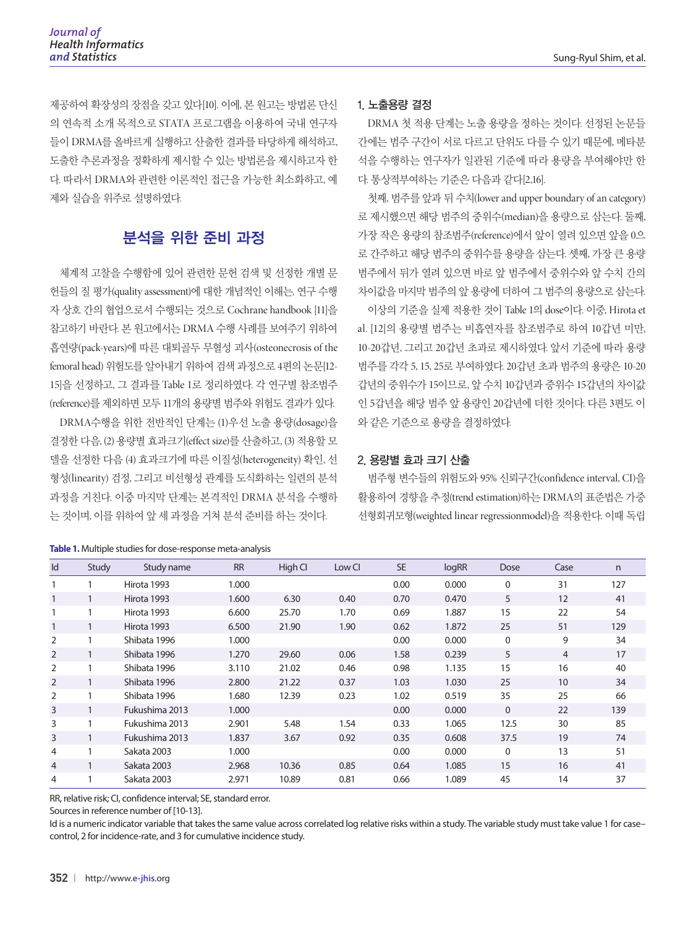제공하여 확장성의 장점을 갖고 있다[10]. 이에, 본 원고는 방법론 단신 의 연속적 소개 목적으로 STATA 프로그램을 이용하여 국내 연구자 들이 DRMA를 올바르게 실행하고 산출한 결과를 타당하게 해석하고, 도출한 추론과정을 정확하게 제시할 수 있는 방법론을 제시하고자 한 다. 따라서 DRMA와 관련한 이론적인 접근을 가능한 최소화하고, 예 제와 실습을 위주로 설명하였다.

# 분석을 위한 준비 과정

체계적 고찰을 수행함에 있어 관련한 문헌 검색 및 선정한 개별 문 헌들의 질 평가(quality assessment)에 대한 개념적인 이해는, 연구 수행 자 상호 간의 협업으로서 수행되는 것으로 Cochrane handbook [11]을 참고하기 바란다. 본 원고에서는 DRMA 수행 사례를 보여주기 위하여 흡연량(pack-years)에 따른 대퇴골두 무혈성 괴사(osteonecrosis of the femoral head) 위험도를 알아내기 위하여 검색 과정으로 4편의 논문[12- 15]을 선정하고, 그 결과를 Table 1로 정리하였다. 각 연구별 참조범주 (reference)를 제외하면 모두 11개의 용량별 범주와 위험도 결과가 있다. DRMA수행을 위한 전반적인 단계는 (1)우선 노출 용량(dosage)을

결정한 다음, (2) 용량별 효과크기(effect size)를 산출하고, (3) 적용할 모 델을 선정한 다음 (4) 효과크기에 따른 이질성(heterogeneity) 확인, 선 형성(linearity) 검정, 그리고 비선형성 관계를 도식화하는 일련의 분석 과정을 거친다. 이중 마지막 단계는 본격적인 DRMA 분석을 수행하 는 것이며, 이를 위하여 앞 세 과정을 거쳐 분석 준비를 하는 것이다.

### 1. 노출용량 결정

DRMA 첫 적용 단계는 노출 용량을 정하는 것이다. 선정된 논문들 간에는 범주 구간이 서로 다르고 단위도 다를 수 있기 때문에, 메타분 석을 수행하는 연구자가 일관된 기준에 따라 용량을 부여해야만 한 다. 통상적부여하는 기준은 다음과 같다[2,16].

첫째, 범주를 앞과 뒤 수치(lower and upper boundary of an category) 로 제시했으면 해당 범주의 중위수(median)을 용량으로 삼는다. 둘째, 가장 작은 용량의 참조범주(reference)에서 앞이 열려 있으면 앞을 0으 로 간주하고 해당 범주의 중위수를 용량을 삼는다. 셋째, 가장 큰 용량 범주에서 뒤가 열려 있으면 바로 앞 범주에서 중위수와 앞 수치 간의 차이값을 마지막 범주의 앞 용량에 더하여 그 범주의 용량으로 삼는다.

이상의 기준을 실제 적용한 것이 Table 1의 dose이다. 이중, Hirota et al. [12]의 용량별 범주는 비흡연자를 참조범주로 하여 10갑년 미만, 10-20갑년, 그리고 20갑년 초과로 제시하였다. 앞서 기준에 따라 용량 범주를 각각 5, 15, 25로 부여하였다. 20갑년 초과 범주의 용량은 10-20 갑년의 중위수가 15이므로, 앞 수치 10갑년과 중위수 15갑년의 차이값 인 5갑년을 해당 범주 앞 용량인 20갑년에 더한 것이다. 다른 3편도 이 와 같은 기준으로 용량을 결정하였다.

#### 2. 용량별 효과 크기 산출

범주형 변수들의 위험도와 95% 신뢰구간(confidence interval, CI)을 활용하여 경향을 추정(trend estimation)하는 DRMA의 표준법은 가중 선형회귀모형(weighted linear regressionmodel)을 적용한다. 이때 독립

| Id             | Study        | Study name     | <b>RR</b> | High Cl | Low CI | <b>SE</b> | logRR | Dose        | Case | n   |
|----------------|--------------|----------------|-----------|---------|--------|-----------|-------|-------------|------|-----|
|                |              | Hirota 1993    | 1.000     |         |        | 0.00      | 0.000 | $\Omega$    | 31   | 127 |
|                |              | Hirota 1993    | 1.600     | 6.30    | 0.40   | 0.70      | 0.470 | 5           | 12   | 41  |
|                |              | Hirota 1993    | 6.600     | 25.70   | 1.70   | 0.69      | 1.887 | 15          | 22   | 54  |
|                | $\mathbf{1}$ | Hirota 1993    | 6.500     | 21.90   | 1.90   | 0.62      | 1.872 | 25          | 51   | 129 |
| $\overline{2}$ |              | Shibata 1996   | 1.000     |         |        | 0.00      | 0.000 | 0           | 9    | 34  |
| 2              |              | Shibata 1996   | 1.270     | 29.60   | 0.06   | 1.58      | 0.239 | 5           | 4    | 17  |
| 2              |              | Shibata 1996   | 3.110     | 21.02   | 0.46   | 0.98      | 1.135 | 15          | 16   | 40  |
| 2              | $\mathbf{1}$ | Shibata 1996   | 2.800     | 21.22   | 0.37   | 1.03      | 1.030 | 25          | 10   | 34  |
| 2              |              | Shibata 1996   | 1.680     | 12.39   | 0.23   | 1.02      | 0.519 | 35          | 25   | 66  |
| 3              |              | Fukushima 2013 | 1.000     |         |        | 0.00      | 0.000 | $\Omega$    | 22   | 139 |
| 3              |              | Fukushima 2013 | 2.901     | 5.48    | 1.54   | 0.33      | 1.065 | 12.5        | 30   | 85  |
| 3              | $\mathbf{1}$ | Fukushima 2013 | 1.837     | 3.67    | 0.92   | 0.35      | 0.608 | 37.5        | 19   | 74  |
| 4              |              | Sakata 2003    | 1.000     |         |        | 0.00      | 0.000 | $\mathbf 0$ | 13   | 51  |
| $\overline{4}$ | 1            | Sakata 2003    | 2.968     | 10.36   | 0.85   | 0.64      | 1.085 | 15          | 16   | 41  |
| 4              |              | Sakata 2003    | 2.971     | 10.89   | 0.81   | 0.66      | 1.089 | 45          | 14   | 37  |

#### **Table 1.** Multiple studies for dose-response meta-analysis

RR, relative risk; CI, confidence interval; SE, standard error.

Sources in reference number of [10-13].

Id is a numeric indicator variable that takes the same value across correlated log relative risks within a study. The variable study must take value 1 for case– control, 2 for incidence-rate, and 3 for cumulative incidence study.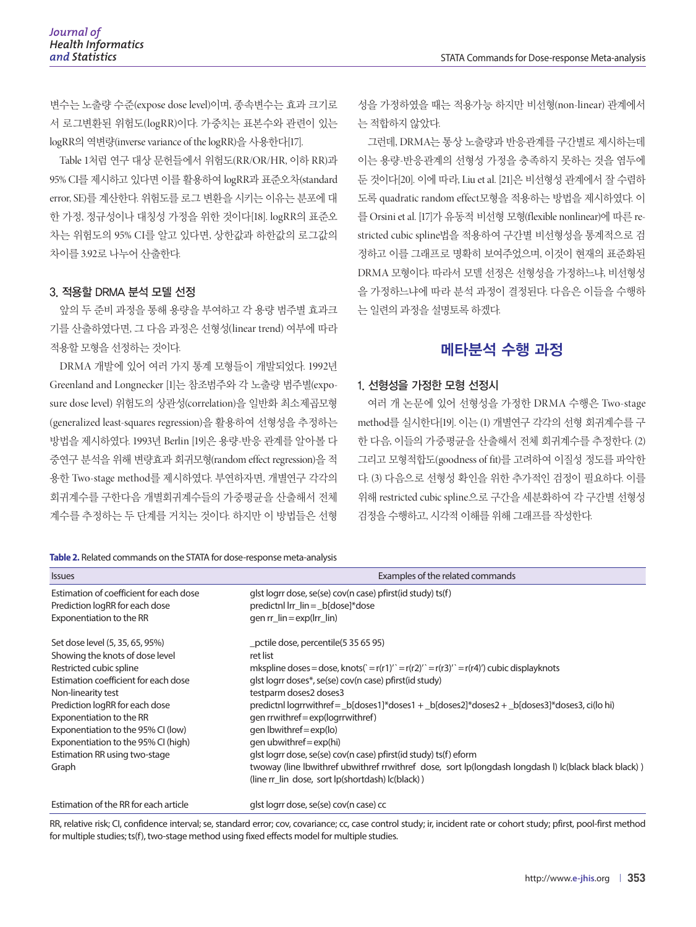변수는 노출량 수준(expose dose level)이며, 종속변수는 효과 크기로 서 로그변환된 위험도(logRR)이다. 가중치는 표본수와 관련이 있는 logRR의 역변량(inverse variance of the logRR)을 사용한다[17].

Table 1처럼 연구 대상 문헌들에서 위험도(RR/OR/HR, 이하 RR)과 95% CI를 제시하고 있다면 이를 활용하여 logRR과 표준오차(standard error, SE)를 계산한다. 위험도를 로그 변환을 시키는 이유는 분포에 대 한 가정, 정규성이나 대칭성 가정을 위한 것이다[18]. logRR의 표준오 차는 위험도의 95% CI를 알고 있다면, 상한값과 하한값의 로그값의 차이를 3.92로 나누어 산출한다.

#### 3. 적용할 DRMA 분석 모델 선정

앞의 두 준비 과정을 통해 용량을 부여하고 각 용량 범주별 효과크 기를 산출하였다면, 그 다음 과정은 선형성(linear trend) 여부에 따라 적용할 모형을 선정하는 것이다.

DRMA 개발에 있어 여러 가지 통계 모형들이 개발되었다. 1992년 Greenland and Longnecker [1]는 참조범주와 각 노출량 범주별(exposure dose level) 위험도의 상관성(correlation)을 일반화 최소제곱모형 (generalized least-squares regression)을 활용하여 선형성을 추정하는 방법을 제시하였다. 1993년 Berlin [19]은 용량-반응 관계를 알아볼 다 중연구 분석을 위해 변량효과 회귀모형(random effect regression)을 적 용한 Two-stage method를 제시하였다. 부연하자면, 개별연구 각각의 회귀계수를 구한다음 개별회귀계수들의 가중평균을 산출해서 전체 계수를 추정하는 두 단계를 거치는 것이다. 하지만 이 방법들은 선형

성을 가정하였을 때는 적용가능 하지만 비선형(non-linear) 관계에서 는 적합하지 않았다.

그런데, DRMA는 통상 노출량과 반응관계를 구간별로 제시하는데 이는 용량-반응관계의 선형성 가정을 충족하지 못하는 것을 염두에 둔 것이다[20]. 이에 따라, Liu et al. [21]은 비선형성 관계에서 잘 수렴하 도록 quadratic random effect모형을 적용하는 방법을 제시하였다. 이 를 Orsini et al. [17]가 유동적 비선형 모형(flexible nonlinear)에 따른 restricted cubic spline법을 적용하여 구간별 비선형성을 통계적으로 검 정하고 이를 그래프로 명확히 보여주었으며, 이것이 현재의 표준화된 DRMA 모형이다. 따라서 모델 선정은 선형성을 가정하느냐, 비선형성 을 가정하느냐에 따라 분석 과정이 결정된다. 다음은 이들을 수행하 는 일련의 과정을 설명토록 하겠다.

## 메타분석 수행 과정

#### 1. 선형성을 가정한 모형 선정시

여러 개 논문에 있어 선형성을 가정한 DRMA 수행은 Two-stage method를 실시한다[19]. 이는 (1) 개별연구 각각의 선형 회귀계수를 구 한 다음, 이들의 가중평균을 산출해서 전체 회귀계수를 추정한다. (2) 그리고 모형적합도(goodness of fit)를 고려하여 이질성 정도를 파악한 다. (3) 다음으로 선형성 확인을 위한 추가적인 검정이 필요하다. 이를 위해 restricted cubic spline으로 구간을 세분화하여 각 구간별 선형성 검정을 수행하고, 시각적 이해를 위해 그래프를 작성한다.

| <b>Issues</b>                           | Examples of the related commands                                                                                                                         |  |  |  |  |  |  |
|-----------------------------------------|----------------------------------------------------------------------------------------------------------------------------------------------------------|--|--|--|--|--|--|
| Estimation of coefficient for each dose | glst logrr dose, se(se) cov(n case) pfirst(id study) ts(f)                                                                                               |  |  |  |  |  |  |
| Prediction logRR for each dose          | predictnl lrr_lin = _b[dose]*dose                                                                                                                        |  |  |  |  |  |  |
| Exponentiation to the RR                | gen $rr$ lin = $exp(lrr$ lin)                                                                                                                            |  |  |  |  |  |  |
| Set dose level (5, 35, 65, 95%)         | pctile dose, percentile (5 35 65 95)                                                                                                                     |  |  |  |  |  |  |
| Showing the knots of dose level         | ret list                                                                                                                                                 |  |  |  |  |  |  |
| Restricted cubic spline                 | mkspline doses = dose, knots(` = $r(r1)'$ = $r(r2)'$ = $r(r3)'$ = $r(r4)'$ ) cubic displayknots                                                          |  |  |  |  |  |  |
| Estimation coefficient for each dose    | glst logr doses*, se(se) cov(n case) pfirst(id study)                                                                                                    |  |  |  |  |  |  |
| Non-linearity test                      | testparm doses2 doses3                                                                                                                                   |  |  |  |  |  |  |
| Prediction logRR for each dose          | predictnl logrrwithref = _b[doses1]*doses1 + _b[doses2]*doses2 + _b[doses3]*doses3, ci(lo hi)                                                            |  |  |  |  |  |  |
| Exponentiation to the RR                | gen rrwithref = exp(logrrwithref)                                                                                                                        |  |  |  |  |  |  |
| Exponentiation to the 95% CI (low)      | gen Ibwithref = $exp($ lo $)$                                                                                                                            |  |  |  |  |  |  |
| Exponentiation to the 95% CI (high)     | gen ubwithref = $exp(hi)$                                                                                                                                |  |  |  |  |  |  |
| Estimation RR using two-stage           | glst logrr dose, se(se) cov(n case) pfirst(id study) ts(f) eform                                                                                         |  |  |  |  |  |  |
| Graph                                   | twoway (line Ibwithref ubwithref rrwithref dose, sort lp(longdash longdash l) Ic(black black black))<br>(line rr_lin_dose, sort lp(shortdash) lc(black)) |  |  |  |  |  |  |
| Estimation of the RR for each article   | glst logr dose, se(se) cov(n case) cc                                                                                                                    |  |  |  |  |  |  |

RR, relative risk; CI, confidence interval; se, standard error; cov, covariance; cc, case control study; ir, incident rate or cohort study; pfirst, pool-first method for multiple studies; ts(f), two-stage method using fixed effects model for multiple studies.

#### **Table 2.** Related commands on the STATA for dose-response meta-analysis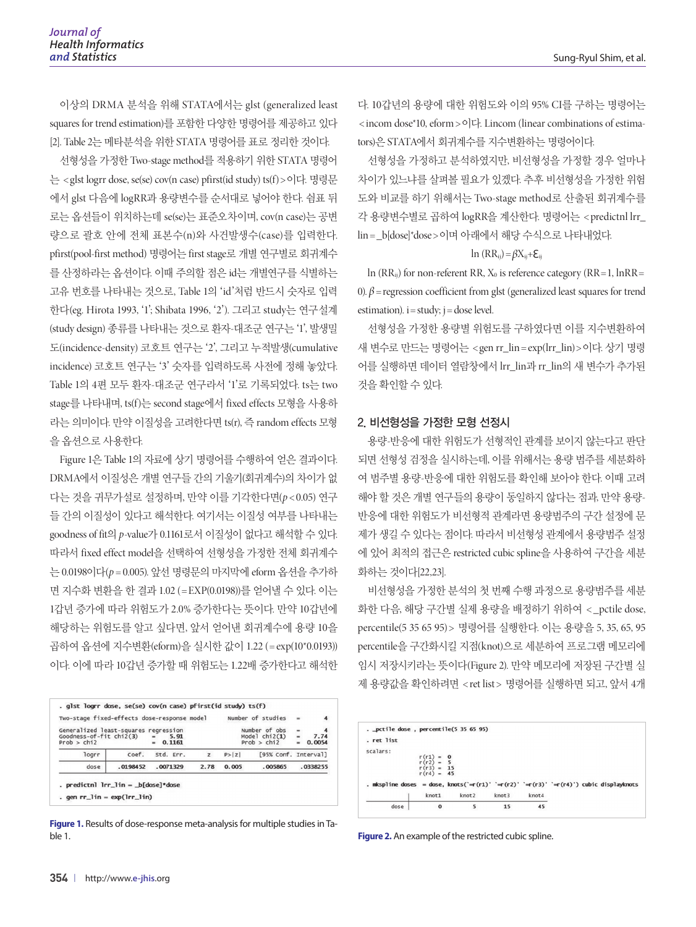이상의 DRMA 분석을 위해 STATA에서는 glst (generalized least squares for trend estimation)를 포함한 다양한 명령어를 제공하고 있다 [2]. Table 2는 메타분석을 위한 STATA 명령어를 표로 정리한 것이다.

선형성을 가정한 Two-stage method를 적용하기 위한 STATA 명령어 는 < glst logrr dose, se(se) cov(n case) pfirst(id study) ts(f) >이다. 명령문 에서 glst 다음에 logRR과 용량변수를 순서대로 넣어야 한다. 쉼표 뒤 로는 옵션들이 위치하는데 se(se)는 표준오차이며, cov(n case)는 공변 량으로 괄호 안에 전체 표본수(n)와 사건발생수(case)를 입력한다. pfirst(pool-first method) 명령어는 first stage로 개별 연구별로 회귀계수 를 산정하라는 옵션이다. 이때 주의할 점은 id는 개별연구를 식별하는 고유 번호를 나타내는 것으로, Table 1의 'id'처럼 반드시 숫자로 입력 한다(eg. Hirota 1993, '1'; Shibata 1996, '2'). 그리고 study는 연구설계 (study design) 종류를 나타내는 것으로 환자-대조군 연구는 '1', 발생밀 도(incidence-density) 코호트 연구는 '2', 그리고 누적발생(cumulative incidence) 코호트 연구는 '3' 숫자를 입력하도록 사전에 정해 놓았다. Table 1의 4편 모두 환자-대조군 연구라서 '1'로 기록되었다. ts는 two stage를 나타내며, ts(f)는 second stage에서 fixed effects 모형을 사용하 라는 의미이다. 만약 이질성을 고려한다면 ts(r), 즉 random effects 모형 을 옵션으로 사용한다.

Figure 1은 Table 1의 자료에 상기 명령어를 수행하여 얻은 결과이다. DRMA에서 이질성은 개별 연구들 간의 기울기(회귀계수)의 차이가 없 다는 것을 귀무가설로 설정하며, 만약 이를 기각한다면(*p* < 0.05) 연구 들 간의 이질성이 있다고 해석한다. 여기서는 이질성 여부를 나타내는 goodness of fit의 *p*-value가 0.1161로서 이질성이 없다고 해석할 수 있다. 따라서 fixed effect model을 선택하여 선형성을 가정한 전체 회귀계수 는 0.0198이다(*p* = 0.005). 앞선 명령문의 마지막에 eform 옵션을 추가하 면 지수화 변환을 한 결과 1.02 (= EXP(0.0198))를 얻어낼 수 있다. 이는 1갑년 증가에 따라 위험도가 2.0% 증가한다는 뜻이다. 만약 10갑년에 해당하는 위험도를 알고 싶다면, 앞서 얻어낸 회귀계수에 용량 10을 곱하여 옵션에 지수변환(eform)을 실시한 값이 1.22 (= exp(10\*0.0193)) 이다. 이에 따라 10갑년 증가할 때 위험도는 1.22배 증가한다고 해석한



**Figure 1.** Results of dose-response meta-analysis for multiple studies in Table 1. **Figure 2.** An example of the restricted cubic spline.

다. 10갑년의 용량에 대한 위험도와 이의 95% CI를 구하는 명령어는 < incom dose\*10, eform >이다. Lincom (linear combinations of estimators)은 STATA에서 회귀계수를 지수변환하는 명령어이다.

선형성을 가정하고 분석하였지만, 비선형성을 가정할 경우 얼마나 차이가 있느냐를 살펴볼 필요가 있겠다. 추후 비선형성을 가정한 위험 도와 비교를 하기 위해서는 Two-stage method로 산출된 회귀계수를 각 용량변수별로 곱하여 logRR을 계산한다. 명령어는 < predictnl lrr\_ lin = \_b[dose]\*dose >이며 아래에서 해당 수식으로 나타내었다.

#### ln  $(RR_{ij}) = \beta X_{ij} + \varepsilon_{ij}$

ln ( $RR_{ij}$ ) for non-referent  $RR$ ,  $X_0$  is reference category ( $RR=1$ ,  $InRR=$ 0). β = regression coefficient from glst (generalized least squares for trend estimation).  $i = study$ ;  $j = dose$  level.

선형성을 가정한 용량별 위험도를 구하였다면 이를 지수변환하여 새 변수로 만드는 명령어는 < gen rr\_lin = exp(lrr\_lin) >이다. 상기 명령 어를 실행하면 데이터 열람창에서 lrr\_lin과 rr\_lin의 새 변수가 추가된 것을 확인할 수 있다.

#### 2. 비선형성을 가정한 모형 선정시

용량-반응에 대한 위험도가 선형적인 관계를 보이지 않는다고 판단 되면 선형성 검정을 실시하는데, 이를 위해서는 용량 범주를 세분화하 여 범주별 용량-반응에 대한 위험도를 확인해 보아야 한다. 이때 고려 해야 할 것은 개별 연구들의 용량이 동일하지 않다는 점과, 만약 용량-반응에 대한 위험도가 비선형적 관계라면 용량범주의 구간 설정에 문 제가 생길 수 있다는 점이다. 따라서 비선형성 관계에서 용량범주 설정 에 있어 최적의 접근은 restricted cubic spline을 사용하여 구간을 세분 화하는 것이다[22,23].

비선형성을 가정한 분석의 첫 번째 수행 과정으로 용량범주를 세분 화한 다음, 해당 구간별 실제 용량을 배정하기 위하여 < \_pctile dose, percentile(5 35 65 95) > 명령어를 실행한다. 이는 용량을 5, 35, 65, 95 percentile을 구간화시킬 지점(knot)으로 세분하여 프로그램 메모리에 임시 저장시키라는 뜻이다(Figure 2). 만약 메모리에 저장된 구간별 실 제 용량값을 확인하려면 < ret list > 명령어를 실행하면 되고, 앞서 4개

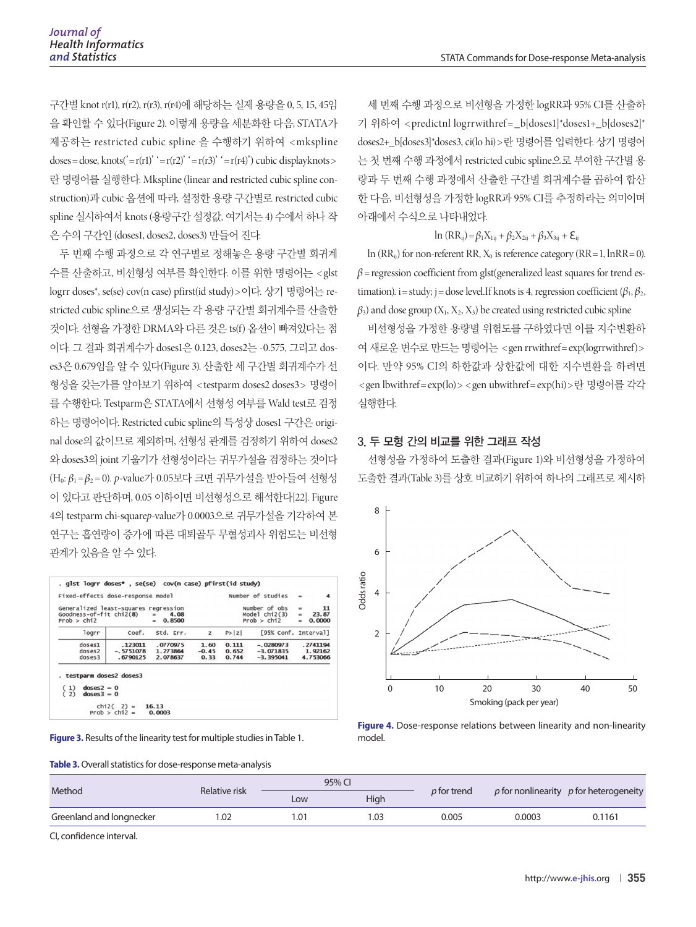구간별 knot r(r1), r(r2), r(r3), r(r4)에 해당하는 실제 용량을 0, 5, 15, 45임 을 확인할 수 있다(Figure 2). 이렇게 용량을 세분화한 다음, STATA가 제공하는 restricted cubic spline 을 수행하기 위하여 < mkspline  $doses = dose, knots('=r(r1)' = r(r2)' = r(r3)' = r(r4)') cubic display$ 란 명령어를 실행한다. Mkspline (linear and restricted cubic spline construction)과 cubic 옵션에 따라, 설정한 용량 구간별로 restricted cubic spline 실시하여서 knots (용량구간 설정값, 여기서는 4) 수에서 하나 작 은 수의 구간인 (doses1, doses2, doses3) 만들어 진다.

두 번째 수행 과정으로 각 연구별로 정해놓은 용량 구간별 회귀계 수를 산출하고, 비선형성 여부를 확인한다. 이를 위한 명령어는 < glst logrr doses\*, se(se) cov(n case) pfirst(id study) >이다. 상기 명령어는 restricted cubic spline으로 생성되는 각 용량 구간별 회귀계수를 산출한 것이다. 선형을 가정한 DRMA와 다른 것은 ts(f) 옵션이 빠져있다는 점 이다. 그 결과 회귀계수가 doses1은 0.123, doses2는 -0.575, 그리고 doses3은 0.679임을 알 수 있다(Figure 3). 산출한 세 구간별 회귀계수가 선 형성을 갖는가를 알아보기 위하여 < testparm doses2 doses3> 명령어 를 수행한다. Testparm은 STATA에서 선형성 여부를 Wald test로 검정 하는 명령어이다. Restricted cubic spline의 특성상 doses1 구간은 original dose의 값이므로 제외하며, 선형성 관계를 검정하기 위하여 doses2 와 doses3의 joint 기울기가 선형성이라는 귀무가설을 검정하는 것이다 (H0: β1=β<sup>2</sup> = 0). *p*-value가 0.05보다 크면 귀무가설을 받아들여 선형성 이 있다고 판단하며, 0.05 이하이면 비선형성으로 해석한다[22]. Figure 4의 testparm chi-square*p*-value가 0.0003으로 귀무가설을 기각하여 본 연구는 흡연량이 증가에 따른 대퇴골두 무혈성괴사 위험도는 비선형 관계가 있음을 알 수 있다.

| Generalized least-squares regression<br>$Goodness-off-fit chi2(8)$<br>Prob > chi2 |                                    | 4.08<br>$=$<br>0.8500<br>m.      |                         |                         | Number of obs<br>Model $chi2(3)$<br>Prob > chi2 | $=$<br>$=$<br>$\equiv$ | 11<br>23.87<br>0.0000 |
|-----------------------------------------------------------------------------------|------------------------------------|----------------------------------|-------------------------|-------------------------|-------------------------------------------------|------------------------|-----------------------|
| logrr                                                                             | coef.                              | Std. Err.                        | z                       | P >  Z                  | [95% Conf. Interval]                            |                        |                       |
| doses1<br>doses2<br>dosses3                                                       | .123011<br>$-.5751078$<br>.6790125 | .0770975<br>1.273864<br>2.078637 | 1.60<br>$-0.45$<br>0.33 | 0.111<br>0.652<br>0.744 | $-.0280973$<br>$-3.071835$<br>$-3.395041$       |                        | .2741194              |
| $dosses2 = 0$<br>1)                                                               | . testparm doses2 doses3           |                                  |                         |                         |                                                 |                        | 1.92162<br>4.753066   |

|  | Table 3. Overall statistics for dose-response meta-analysis |
|--|-------------------------------------------------------------|
|--|-------------------------------------------------------------|

세 번째 수행 과정으로 비선형을 가정한 logRR과 95% CI를 산출하 기 위하여 <predictnl logrrwithref = \_b[doses1]\*doses1+\_b[doses2]\* doses2+\_b[doses3]\*doses3, ci(lo hi)>란 명령어를 입력한다. 상기 명령어 는 첫 번째 수행 과정에서 restricted cubic spline으로 부여한 구간별 용 량과 두 번째 수행 과정에서 산출한 구간별 회귀계수를 곱하여 합산 한 다음, 비선형성을 가정한 logRR과 95% CI를 추정하라는 의미이며 아래에서 수식으로 나타내었다.

#### ln (RR<sub>ij</sub>) = β<sub>1</sub>X<sub>1ij</sub> + β<sub>2</sub>X<sub>2ij</sub> + β<sub>3</sub>X<sub>3ij</sub> + **ξ**<sub>ij</sub>

 $\ln$  (RR<sub>ij</sub>) for non-referent RR,  $X_0$  is reference category (RR = 1,  $\ln RR = 0$ ).  $\beta$  = regression coefficient from glst(generalized least squares for trend estimation). i = study; j = dose level.If knots is 4, regression coefficient  $(\beta_1, \beta_2, \beta_3)$  $\beta_3$ ) and dose group (X<sub>1</sub>, X<sub>2</sub>, X<sub>3</sub>) be created using restricted cubic spline

비선형성을 가정한 용량별 위험도를 구하였다면 이를 지수변환하 여 새로운 변수로 만드는 명령어는 < gen rrwithref= exp(logrrwithref)> 이다. 만약 95% CI의 하한값과 상한값에 대한 지수변환을 하려면 < gen lbwithref = exp(lo) > < gen ubwithref = exp(hi) >란 명령어를 각각 실행한다.

#### 3. 두 모형 간의 비교를 위한 그래프 작성

선형성을 가정하여 도출한 결과(Figure 1)와 비선형성을 가정하여 도출한 결과(Table 3)를 상호 비교하기 위하여 하나의 그래프로 제시하



**Figure 4.** Dose-response relations between linearity and non-linearity model.

|                          |               |     | 95% CI |             |        |                                          |  |
|--------------------------|---------------|-----|--------|-------------|--------|------------------------------------------|--|
| Method                   | Relative risk | Low | High   | p for trend |        | p for nonlinearity $p$ for heterogeneity |  |
| Greenland and longnecker | 1.02          | .01 | l.O3   | 0.005       | 0.0003 | 0.1161                                   |  |
|                          |               |     |        |             |        |                                          |  |

CI, confidence interval.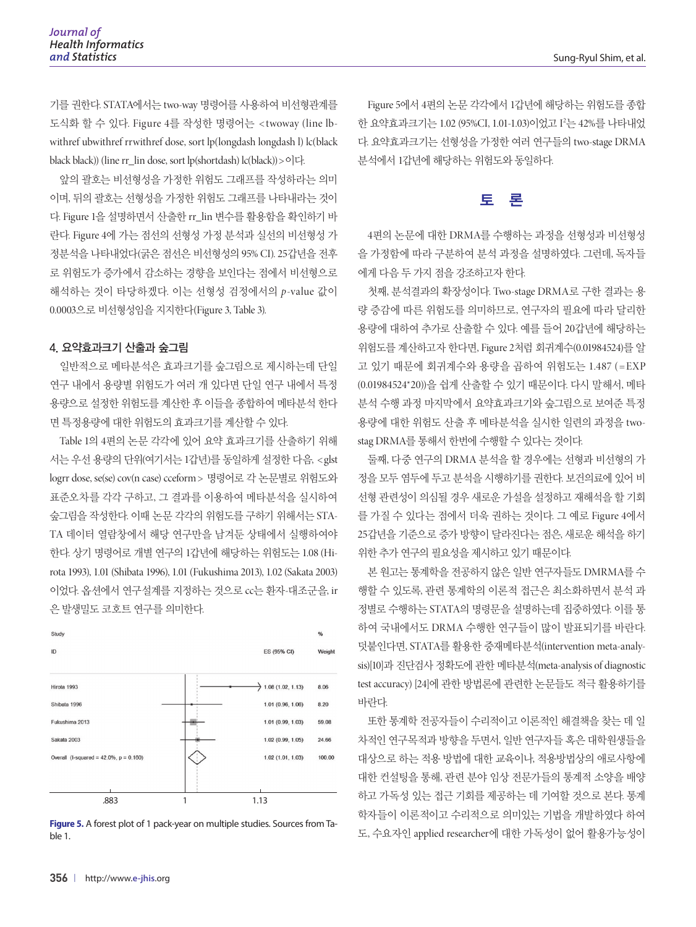기를 권한다. STATA에서는 two-way 명령어를 사용하여 비선형관계를 도식화 할 수 있다. Figure 4를 작성한 명령어는 < twoway (line lbwithref ubwithref rrwithref dose, sort lp(longdash longdash l) lc(black black black)) (line rr\_lin dose, sort lp(shortdash) lc(black))>이다.

앞의 괄호는 비선형성을 가정한 위험도 그래프를 작성하라는 의미 이며, 뒤의 괄호는 선형성을 가정한 위험도 그래프를 나타내라는 것이 다. Figure 1을 설명하면서 산출한 rr\_lin 변수를 활용함을 확인하기 바 란다. Figure 4에 가는 점선의 선형성 가정 분석과 실선의 비선형성 가 정분석을 나타내었다(굵은 점선은 비선형성의 95% CI). 25갑년을 전후 로 위험도가 증가에서 감소하는 경향을 보인다는 점에서 비선형으로 해석하는 것이 타당하겠다. 이는 선형성 검정에서의 *p*-value 값이 0.0003으로 비선형성임을 지지한다(Figure 3, Table 3).

#### 4. 요약효과크기 산출과 숲그림

일반적으로 메타분석은 효과크기를 숲그림으로 제시하는데 단일 연구 내에서 용량별 위험도가 여러 개 있다면 단일 연구 내에서 특정 용량으로 설정한 위험도를 계산한 후 이들을 종합하여 메타분석 한다 면 특정용량에 대한 위험도의 효과크기를 계산할 수 있다.

Table 1의 4편의 논문 각각에 있어 요약 효과크기를 산출하기 위해 서는 우선 용량의 단위(여기서는 1갑년)를 동일하게 설정한 다음, < glst logrr dose, se(se) cov(n case) cceform > 명령어로 각 논문별로 위험도와 표준오차를 각각 구하고, 그 결과를 이용하여 메타분석을 실시하여 숲그림을 작성한다. 이때 논문 각각의 위험도를 구하기 위해서는 STA-TA 데이터 열람창에서 해당 연구만을 남겨둔 상태에서 실행하여야 한다. 상기 명령어로 개별 연구의 1갑년에 해당하는 위험도는 1.08 (Hirota 1993), 1.01 (Shibata 1996), 1.01 (Fukushima 2013), 1.02 (Sakata 2003) 이었다. 옵션에서 연구설계를 지정하는 것으로 cc는 환자-대조군을, ir 은 발생밀도 코호트 연구를 의미한다.



**Figure 5.** A forest plot of 1 pack-year on multiple studies. Sources from Table 1.

Figure 5에서 4편의 논문 각각에서 1갑년에 해당하는 위험도를 종합 한 요약효과크기는 1.02 (95%CI, 1.01-1.03)이었고 I'는 42%를 나타내었 다. 요약효과크기는 선형성을 가정한 여러 연구들의 two-stage DRMA 분석에서 1갑년에 해당하는 위험도와 동일하다.

# 토 론

4편의 논문에 대한 DRMA를 수행하는 과정을 선형성과 비선형성 을 가정함에 따라 구분하여 분석 과정을 설명하였다. 그런데, 독자들 에게 다음 두 가지 점을 강조하고자 한다.

첫째, 분석결과의 확장성이다. Two-stage DRMA로 구한 결과는 용 량 증감에 따른 위험도를 의미하므로, 연구자의 필요에 따라 달리한 용량에 대하여 추가로 산출할 수 있다. 예를 들어 20갑년에 해당하는 위험도를 계산하고자 한다면, Figure 2처럼 회귀계수(0.01984524)를 알 고 있기 때문에 회귀계수와 용량을 곱하여 위험도는 1.487 (= EXP (0.01984524\*20))을 쉽게 산출할 수 있기 때문이다. 다시 말해서, 메타 분석 수행 과정 마지막에서 요약효과크기와 숲그림으로 보여준 특정 용량에 대한 위험도 산출 후 메타분석을 실시한 일련의 과정을 twostag DRMA를 통해서 한번에 수행할 수 있다는 것이다.

둘째, 다중 연구의 DRMA 분석을 할 경우에는 선형과 비선형의 가 정을 모두 염두에 두고 분석을 시행하기를 권한다. 보건의료에 있어 비 선형 관련성이 의심될 경우 새로운 가설을 설정하고 재해석을 할 기회 를 가질 수 있다는 점에서 더욱 권하는 것이다. 그 예로 Figure 4에서 25갑년을 기준으로 증가 방향이 달라진다는 점은, 새로운 해석을 하기 위한 추가 연구의 필요성을 제시하고 있기 때문이다.

본 원고는 통계학을 전공하지 않은 일반 연구자들도 DMRMA를 수 행할 수 있도록, 관련 통계학의 이론적 접근은 최소화하면서 분석 과 정별로 수행하는 STATA의 명령문을 설명하는데 집중하였다. 이를 통 하여 국내에서도 DRMA 수행한 연구들이 많이 발표되기를 바란다. 덧붙인다면, STATA를 활용한 중재메타분석(intervention meta-analysis)[10]과 진단검사 정확도에 관한 메타분석(meta-analysis of diagnostic test accuracy) [24]에 관한 방법론에 관련한 논문들도 적극 활용하기를 바란다.

또한 통계학 전공자들이 수리적이고 이론적인 해결책을 찾는 데 일 차적인 연구목적과 방향을 두면서, 일반 연구자들 혹은 대학원생들을 대상으로 하는 적용 방법에 대한 교육이나, 적용방법상의 애로사항에 대한 컨설팅을 통해, 관련 분야 임상 전문가들의 통계적 소양을 배양 하고 가독성 있는 접근 기회를 제공하는 데 기여할 것으로 본다. 통계 학자들이 이론적이고 수리적으로 의미있는 기법을 개발하였다 하여 도, 수요자인 applied researcher에 대한 가독성이 없어 활용가능성이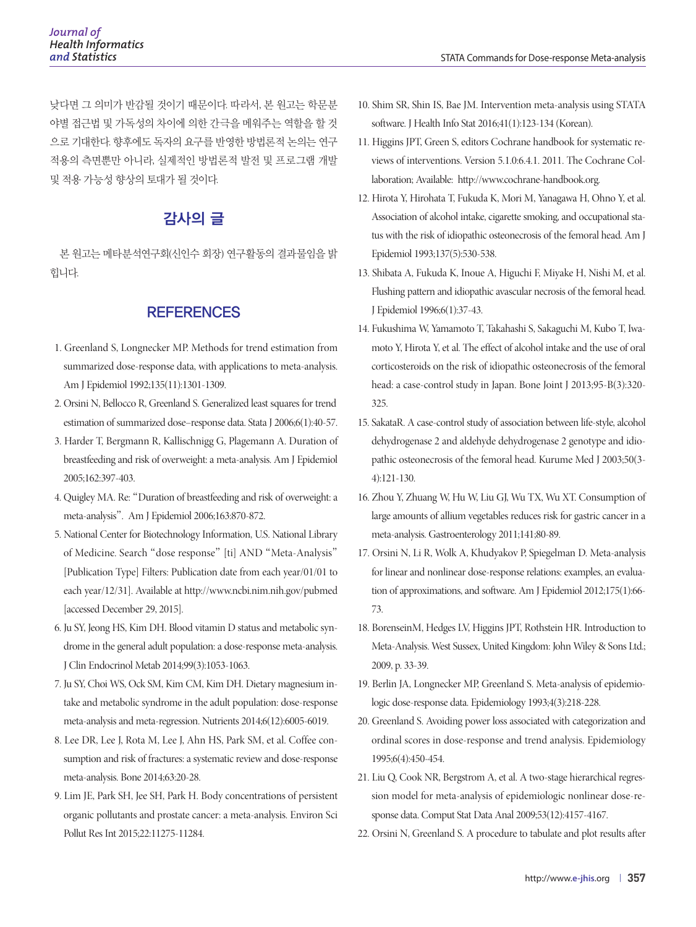낮다면 그 의미가 반감될 것이기 때문이다. 따라서, 본 원고는 학문분 야별 접근법 및 가독성의 차이에 의한 간극을 메워주는 역할을 할 것 으로 기대한다. 향후에도 독자의 요구를 반영한 방법론적 논의는 연구 적용의 측면뿐만 아니라, 실제적인 방법론적 발전 및 프로그램 개발 및 적용 가능성 향상의 토대가 될 것이다.

# 감사의 글

본 원고는 메타분석연구회(신인수 회장) 연구활동의 결과물임을 밝 힙니다.

## **REFERENCES**

- 1. Greenland S, Longnecker MP. Methods for trend estimation from summarized dose-response data, with applications to meta-analysis. Am J Epidemiol 1992;135(11):1301-1309.
- 2. Orsini N, Bellocco R, Greenland S. Generalized least squares for trend estimation of summarized dose–response data. Stata J 2006;6(1):40-57.
- 3. Harder T, Bergmann R, Kallischnigg G, Plagemann A. Duration of breastfeeding and risk of overweight: a meta-analysis. Am J Epidemiol 2005;162:397-403.
- 4. Quigley MA. Re: "Duration of breastfeeding and risk of overweight: a meta-analysis". Am J Epidemiol 2006;163:870-872.
- 5. National Center for Biotechnology Information, U.S. National Library of Medicine. Search "dose response" [ti] AND "Meta-Analysis" [Publication Type] Filters: Publication date from each year/01/01 to each year/12/31]. Available at http://www.ncbi.nim.nih.gov/pubmed [accessed December 29, 2015].
- 6. Ju SY, Jeong HS, Kim DH. Blood vitamin D status and metabolic syndrome in the general adult population: a dose-response meta-analysis. J Clin Endocrinol Metab 2014;99(3):1053-1063.
- 7. Ju SY, Choi WS, Ock SM, Kim CM, Kim DH. Dietary magnesium intake and metabolic syndrome in the adult population: dose-response meta-analysis and meta-regression. Nutrients 2014;6(12):6005-6019.
- 8. Lee DR, Lee J, Rota M, Lee J, Ahn HS, Park SM, et al. Coffee consumption and risk of fractures: a systematic review and dose-response meta-analysis. Bone 2014;63:20-28.
- 9. Lim JE, Park SH, Jee SH, Park H. Body concentrations of persistent organic pollutants and prostate cancer: a meta-analysis. Environ Sci Pollut Res Int 2015;22:11275-11284.
- 10. Shim SR, Shin IS, Bae JM. Intervention meta-analysis using STATA software. J Health Info Stat 2016;41(1):123-134 (Korean).
- 11. Higgins JPT, Green S, editors Cochrane handbook for systematic reviews of interventions. Version 5.1.0:6.4.1. 2011. The Cochrane Collaboration; Available: http://www.cochrane-handbook.org.
- 12. Hirota Y, Hirohata T, Fukuda K, Mori M, Yanagawa H, Ohno Y, et al. Association of alcohol intake, cigarette smoking, and occupational status with the risk of idiopathic osteonecrosis of the femoral head. Am J Epidemiol 1993;137(5):530-538.
- 13. Shibata A, Fukuda K, Inoue A, Higuchi F, Miyake H, Nishi M, et al. Flushing pattern and idiopathic avascular necrosis of the femoral head. J Epidemiol 1996;6(1):37-43.
- 14. Fukushima W, Yamamoto T, Takahashi S, Sakaguchi M, Kubo T, Iwamoto Y, Hirota Y, et al. The effect of alcohol intake and the use of oral corticosteroids on the risk of idiopathic osteonecrosis of the femoral head: a case-control study in Japan. Bone Joint J 2013;95-B(3):320- 325.
- 15. SakataR. A case-control study of association between life-style, alcohol dehydrogenase 2 and aldehyde dehydrogenase 2 genotype and idiopathic osteonecrosis of the femoral head. Kurume Med J 2003;50(3- 4):121-130.
- 16. Zhou Y, Zhuang W, Hu W, Liu GJ, Wu TX, Wu XT. Consumption of large amounts of allium vegetables reduces risk for gastric cancer in a meta-analysis. Gastroenterology 2011;141;80-89.
- 17. Orsini N, Li R, Wolk A, Khudyakov P, Spiegelman D. Meta-analysis for linear and nonlinear dose-response relations: examples, an evaluation of approximations, and software. Am J Epidemiol 2012;175(1):66- 73.
- 18. BorenseinM, Hedges LV, Higgins JPT, Rothstein HR. Introduction to Meta-Analysis. West Sussex, United Kingdom: John Wiley & Sons Ltd.; 2009, p. 33-39.
- 19. Berlin JA, Longnecker MP, Greenland S. Meta-analysis of epidemiologic dose-response data. Epidemiology 1993;4(3):218-228.
- 20. Greenland S. Avoiding power loss associated with categorization and ordinal scores in dose-response and trend analysis. Epidemiology 1995;6(4):450-454.
- 21. Liu Q, Cook NR, Bergstrom A, et al. A two-stage hierarchical regression model for meta-analysis of epidemiologic nonlinear dose-response data. Comput Stat Data Anal 2009;53(12):4157-4167.
- 22. Orsini N, Greenland S. A procedure to tabulate and plot results after